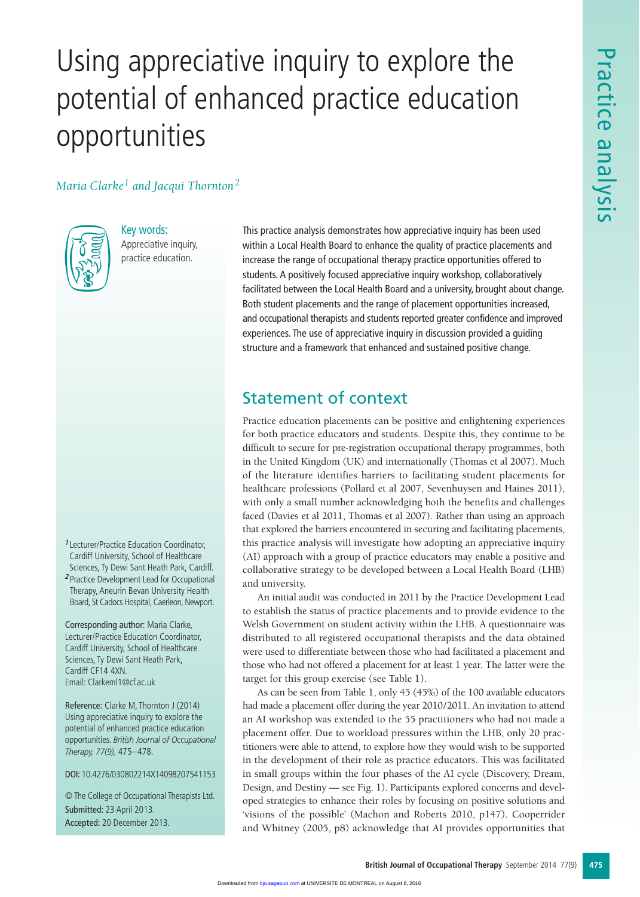# Using appreciative inquiry to explore the potential of enhanced practice education opportunities

*Maria Clarke<sup>1</sup> and Jacqui Thornton<sup>2</sup>*



Key words: Appreciative inquiry, practice education.

This practice analysis demonstrates how appreciative inquiry has been used within a Local Health Board to enhance the quality of practice placements and increase the range of occupational therapy practice opportunities offered to students. A positively focused appreciative inquiry workshop, collaboratively facilitated between the Local Health Board and a university, brought about change. Both student placements and the range of placement opportunities increased, and occupational therapists and students reported greater confidence and improved experiences. The use of appreciative inquiry in discussion provided a guiding structure and a framework that enhanced and sustained positive change.

## Statement of context

**British Journal of Control Control Control Control Control Control Control Control Control Control Control Control Control Control Control Control Control Control Control Control Control Control Control Control Control Co** Practice education placements can be positive and enlightening experiences for both practice educators and students. Despite this, they continue to be difficult to secure for pre-registration occupational therapy programmes, both in the United Kingdom (UK) and internationally (Thomas et al 2007). Much of the literature identifies barriers to facilitating student placements for healthcare professions (Pollard et al 2007, Sevenhuysen and Haines 2011), with only a small number acknowledging both the benefits and challenges faced (Davies et al 2011, Thomas et al 2007). Rather than using an approach that explored the barriers encountered in securing and facilitating placements, this practice analysis will investigate how adopting an appreciative inquiry (AI) approach with a group of practice educators may enable a positive and collaborative strategy to be developed between a Local Health Board (LHB) and university.

An initial audit was conducted in 2011 by the Practice Development Lead to establish the status of practice placements and to provide evidence to the Welsh Government on student activity within the LHB. A questionnaire was distributed to all registered occupational therapists and the data obtained were used to differentiate between those who had facilitated a placement and those who had not offered a placement for at least 1 year. The latter were the target for this group exercise (see Table 1).

As can be seen from Table 1, only 45 (45%) of the 100 available educators had made a placement offer during the year 2010/2011. An invitation to attend an AI workshop was extended to the 55 practitioners who had not made a placement offer. Due to workload pressures within the LHB, only 20 practitioners were able to attend, to explore how they would wish to be supported in the development of their role as practice educators. This was facilitated in small groups within the four phases of the AI cycle (Discovery, Dream, Design, and Destiny — see Fig. 1). Participants explored concerns and developed strategies to enhance their roles by focusing on positive solutions and 'visions of the possible' (Machon and Roberts 2010, p147). Cooperrider and Whitney (2005, p8) acknowledge that AI provides opportunities that

*<sup>1</sup>*Lecturer/Practice Education Coordinator, Cardiff University, School of Healthcare Sciences, Ty Dewi Sant Heath Park, Cardiff. *<sup>2</sup>*Practice Development Lead for Occupational Therapy, Aneurin Bevan University Health Board, St Cadocs Hospital, Caerleon, Newport.

Corresponding author: Maria Clarke, Lecturer/Practice Education Coordinator, Cardiff University, School of Healthcare Sciences, Ty Dewi Sant Heath Park, Cardiff CF14 4XN. Email: Clarkeml1@cf.ac.uk

Reference: Clarke M, Thornton J (2014) Using appreciative inquiry to explore the potential of enhanced practice education opportunities. *British Journal of Occupational Therapy, 77(9),* 475–478.

DOI: 10.4276/030802214X14098207541153

© The College of Occupational Therapists Ltd. Submitted: 23 April 2013. Accepted: 20 December 2013.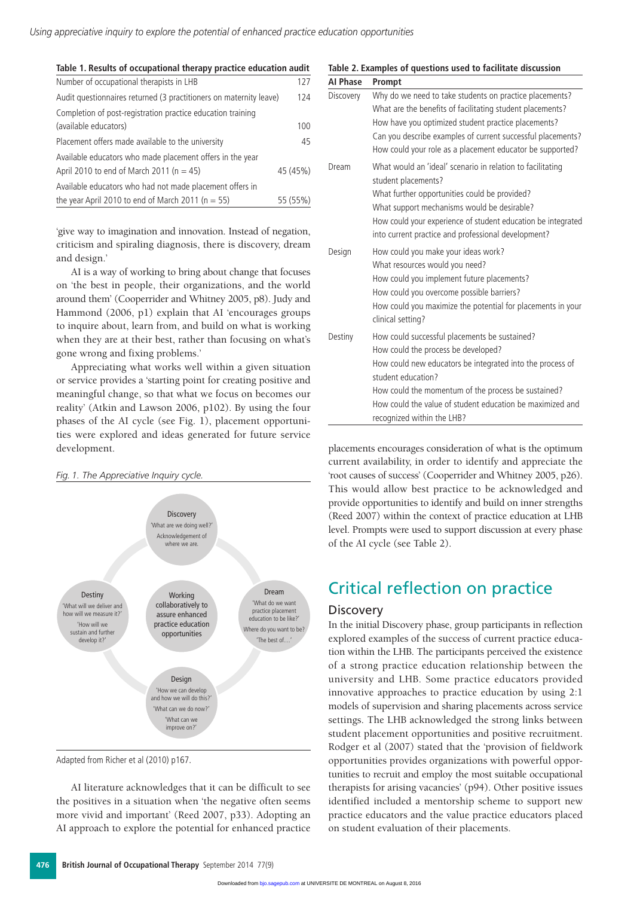| Table 1. Results of occupational therapy practice education audit  |          |  |
|--------------------------------------------------------------------|----------|--|
| Number of occupational therapists in LHB                           | 127      |  |
| Audit questionnaires returned (3 practitioners on maternity leave) | 124      |  |
| Completion of post-registration practice education training        |          |  |
| (available educators)                                              | 100      |  |
| Placement offers made available to the university                  | 45       |  |
| Available educators who made placement offers in the year          |          |  |
| April 2010 to end of March 2011 ( $n = 45$ )                       | 45 (45%) |  |
| Available educators who had not made placement offers in           |          |  |
| the year April 2010 to end of March 2011 ( $n = 55$ )              | 55 (55%) |  |

'give way to imagination and innovation. Instead of negation, criticism and spiraling diagnosis, there is discovery, dream and design.'

AI is a way of working to bring about change that focuses on 'the best in people, their organizations, and the world around them' (Cooperrider and Whitney 2005, p8). Judy and Hammond (2006, p1) explain that AI 'encourages groups to inquire about, learn from, and build on what is working when they are at their best, rather than focusing on what's gone wrong and fixing problems.'

Appreciating what works well within a given situation or service provides a 'starting point for creating positive and meaningful change, so that what we focus on becomes our reality' (Atkin and Lawson 2006, p102). By using the four phases of the AI cycle (see Fig. 1), placement opportunities were explored and ideas generated for future service development. placements encourages consideration of what is the optimum



Adapted from Richer et al (2010) p167.

AI literature acknowledges that it can be difficult to see the positives in a situation when 'the negative often seems more vivid and important' (Reed 2007, p33). Adopting an AI approach to explore the potential for enhanced practice

#### **Table 2. Examples of questions used to facilitate discussion AI Phase Prompt**

| AI Phase  | Prompt                                                                                                                                                                                                                                                                                                                    |
|-----------|---------------------------------------------------------------------------------------------------------------------------------------------------------------------------------------------------------------------------------------------------------------------------------------------------------------------------|
| Discovery | Why do we need to take students on practice placements?<br>What are the benefits of facilitating student placements?<br>How have you optimized student practice placements?<br>Can you describe examples of current successful placements?<br>How could your role as a placement educator be supported?                   |
| Dream     | What would an 'ideal' scenario in relation to facilitating<br>student placements?<br>What further opportunities could be provided?<br>What support mechanisms would be desirable?<br>How could your experience of student education be integrated<br>into current practice and professional development?                  |
| Design    | How could you make your ideas work?<br>What resources would you need?<br>How could you implement future placements?<br>How could you overcome possible barriers?<br>How could you maximize the potential for placements in your<br>clinical setting?                                                                      |
| Destiny   | How could successful placements be sustained?<br>How could the process be developed?<br>How could new educators be integrated into the process of<br>student education?<br>How could the momentum of the process be sustained?<br>How could the value of student education be maximized and<br>recognized within the LHB? |

current availability, in order to identify and appreciate the 'root causes of success' (Cooperrider and Whitney 2005, p26). This would allow best practice to be acknowledged and provide opportunities to identify and build on inner strengths (Reed 2007) within the context of practice education at LHB level. Prompts were used to support discussion at every phase of the AI cycle (see Table 2).

## Critical reflection on practice

#### **Discovery**

In the initial Discovery phase, group participants in reflection explored examples of the success of current practice education within the LHB. The participants perceived the existence of a strong practice education relationship between the university and LHB. Some practice educators provided innovative approaches to practice education by using 2:1 models of supervision and sharing placements across service settings. The LHB acknowledged the strong links between student placement opportunities and positive recruitment. Rodger et al (2007) stated that the 'provision of fieldwork opportunities provides organizations with powerful opportunities to recruit and employ the most suitable occupational therapists for arising vacancies' (p94). Other positive issues identified included a mentorship scheme to support new practice educators and the value practice educators placed on student evaluation of their placements.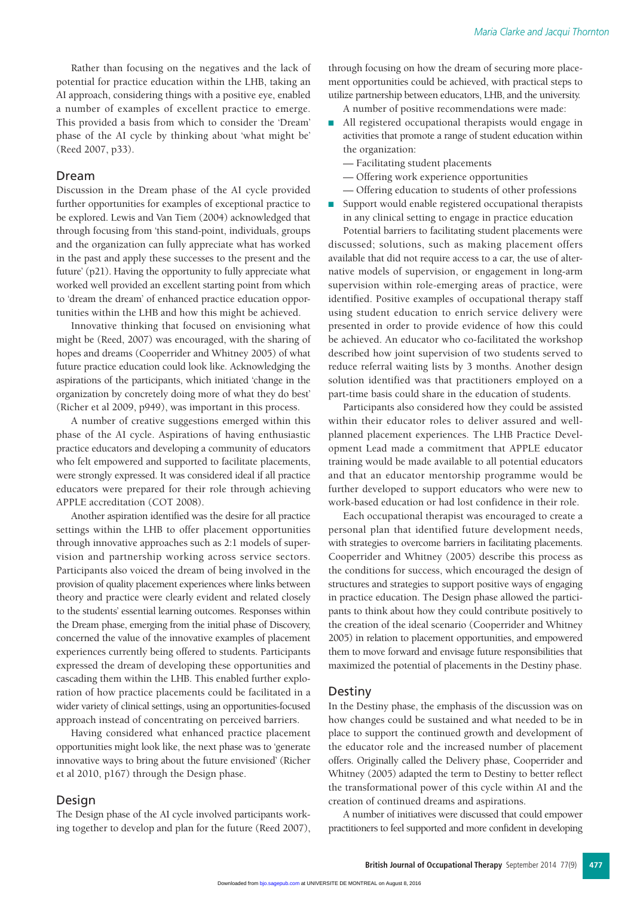Rather than focusing on the negatives and the lack of potential for practice education within the LHB, taking an AI approach, considering things with a positive eye, enabled a number of examples of excellent practice to emerge. This provided a basis from which to consider the 'Dream' phase of the AI cycle by thinking about 'what might be' (Reed 2007, p33).

#### Dream

Discussion in the Dream phase of the AI cycle provided further opportunities for examples of exceptional practice to be explored. Lewis and Van Tiem (2004) acknowledged that through focusing from 'this stand-point, individuals, groups and the organization can fully appreciate what has worked in the past and apply these successes to the present and the future' (p21). Having the opportunity to fully appreciate what worked well provided an excellent starting point from which to 'dream the dream' of enhanced practice education opportunities within the LHB and how this might be achieved.

Innovative thinking that focused on envisioning what might be (Reed, 2007) was encouraged, with the sharing of hopes and dreams (Cooperrider and Whitney 2005) of what future practice education could look like. Acknowledging the aspirations of the participants, which initiated 'change in the organization by concretely doing more of what they do best' (Richer et al 2009, p949), was important in this process.

A number of creative suggestions emerged within this phase of the AI cycle. Aspirations of having enthusiastic practice educators and developing a community of educators who felt empowered and supported to facilitate placements, were strongly expressed. It was considered ideal if all practice educators were prepared for their role through achieving APPLE accreditation (COT 2008).

Another aspiration identified was the desire for all practice settings within the LHB to offer placement opportunities through innovative approaches such as 2:1 models of supervision and partnership working across service sectors. Participants also voiced the dream of being involved in the provision of quality placement experiences where links between theory and practice were clearly evident and related closely to the students' essential learning outcomes. Responses within the Dream phase, emerging from the initial phase of Discovery, concerned the value of the innovative examples of placement experiences currently being offered to students. Participants expressed the dream of developing these opportunities and cascading them within the LHB. This enabled further exploration of how practice placements could be facilitated in a wider variety of clinical settings, using an opportunities-focused approach instead of concentrating on perceived barriers.

Having considered what enhanced practice placement opportunities might look like, the next phase was to 'generate innovative ways to bring about the future envisioned' (Richer et al 2010, p167) through the Design phase.

#### Design

The Design phase of the AI cycle involved participants working together to develop and plan for the future (Reed 2007), through focusing on how the dream of securing more placement opportunities could be achieved, with practical steps to utilize partnership between educators, LHB, and the university.

A number of positive recommendations were made:

- All registered occupational therapists would engage in activities that promote a range of student education within the organization:
	- Facilitating student placements
	- Offering work experience opportunities
	- Offering education to students of other professions
- **■** Support would enable registered occupational therapists in any clinical setting to engage in practice education

Potential barriers to facilitating student placements were discussed; solutions, such as making placement offers available that did not require access to a car, the use of alternative models of supervision, or engagement in long-arm supervision within role-emerging areas of practice, were identified. Positive examples of occupational therapy staff using student education to enrich service delivery were presented in order to provide evidence of how this could be achieved. An educator who co-facilitated the workshop described how joint supervision of two students served to reduce referral waiting lists by 3 months. Another design solution identified was that practitioners employed on a part-time basis could share in the education of students.

Participants also considered how they could be assisted within their educator roles to deliver assured and wellplanned placement experiences. The LHB Practice Development Lead made a commitment that APPLE educator training would be made available to all potential educators and that an educator mentorship programme would be further developed to support educators who were new to work-based education or had lost confidence in their role.

Each occupational therapist was encouraged to create a personal plan that identified future development needs, with strategies to overcome barriers in facilitating placements. Cooperrider and Whitney (2005) describe this process as the conditions for success, which encouraged the design of structures and strategies to support positive ways of engaging in practice education. The Design phase allowed the participants to think about how they could contribute positively to the creation of the ideal scenario (Cooperrider and Whitney 2005) in relation to placement opportunities, and empowered them to move forward and envisage future responsibilities that maximized the potential of placements in the Destiny phase.

#### **Destiny**

In the Destiny phase, the emphasis of the discussion was on how changes could be sustained and what needed to be in place to support the continued growth and development of the educator role and the increased number of placement offers. Originally called the Delivery phase, Cooperrider and Whitney (2005) adapted the term to Destiny to better reflect the transformational power of this cycle within AI and the creation of continued dreams and aspirations.

A number of initiatives were discussed that could empower practitioners to feel supported and more confident in developing